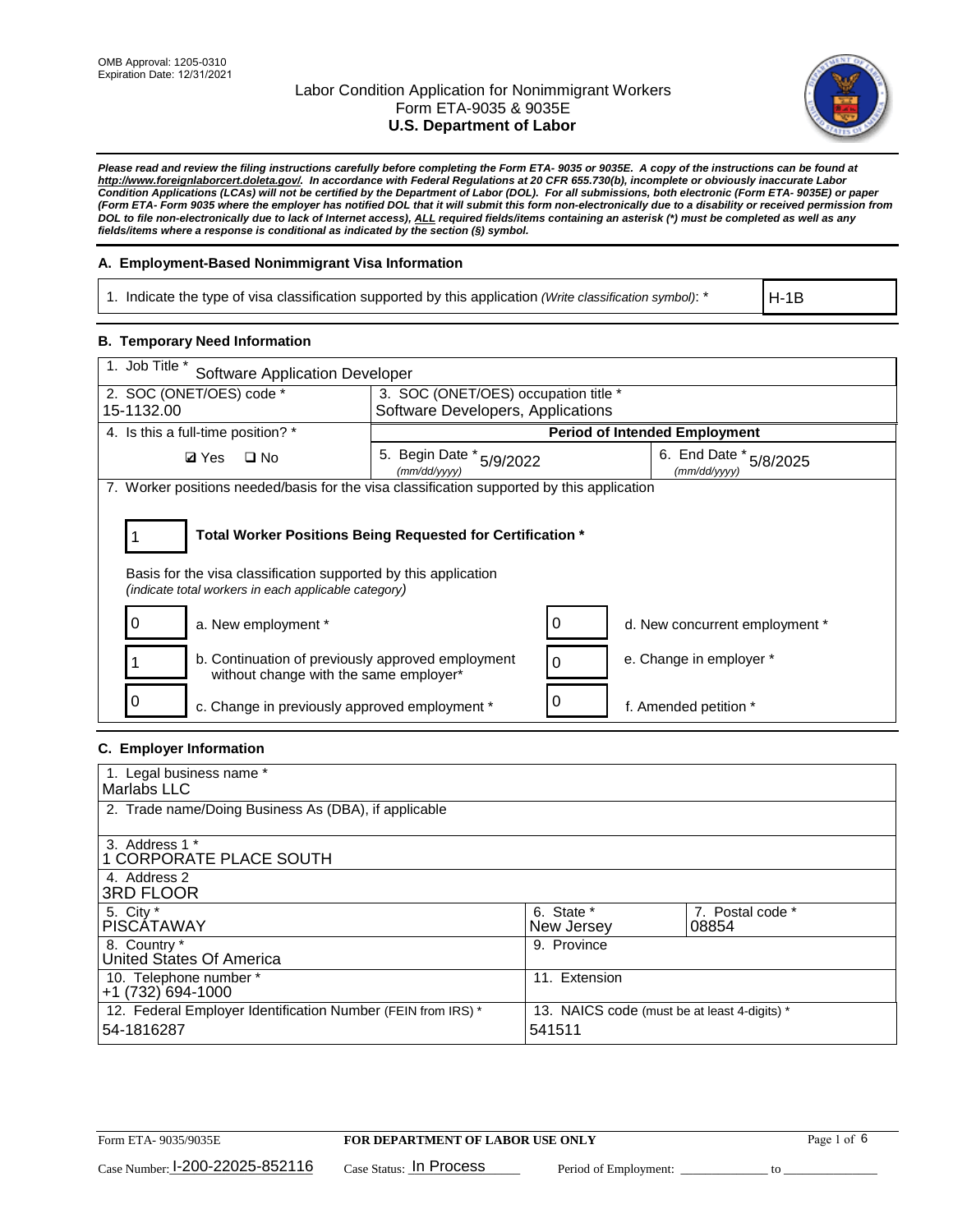

*Please read and review the filing instructions carefully before completing the Form ETA- 9035 or 9035E. A copy of the instructions can be found at http://www.foreignlaborcert.doleta.gov/. In accordance with Federal Regulations at 20 CFR 655.730(b), incomplete or obviously inaccurate Labor Condition Applications (LCAs) will not be certified by the Department of Labor (DOL). For all submissions, both electronic (Form ETA- 9035E) or paper (Form ETA- Form 9035 where the employer has notified DOL that it will submit this form non-electronically due to a disability or received permission from DOL to file non-electronically due to lack of Internet access), ALL required fields/items containing an asterisk (\*) must be completed as well as any fields/items where a response is conditional as indicated by the section (§) symbol.* 

### **A. Employment-Based Nonimmigrant Visa Information**

1. Indicate the type of visa classification supported by this application *(Write classification symbol)*: \*

H-1B

#### **B. Temporary Need Information**

| 1. Job Title *<br><b>Software Application Developer</b>                                                                                                                               |                                          |                                      |                                            |  |  |
|---------------------------------------------------------------------------------------------------------------------------------------------------------------------------------------|------------------------------------------|--------------------------------------|--------------------------------------------|--|--|
| 2. SOC (ONET/OES) code *                                                                                                                                                              | 3. SOC (ONET/OES) occupation title *     |                                      |                                            |  |  |
| 15-1132.00                                                                                                                                                                            | Software Developers, Applications        |                                      |                                            |  |  |
| 4. Is this a full-time position? *                                                                                                                                                    |                                          | <b>Period of Intended Employment</b> |                                            |  |  |
| <b>Ø</b> Yes<br>$\Box$ No                                                                                                                                                             | 5. Begin Date * 5/9/2022<br>(mm/dd/yyyy) |                                      | 6. End Date $*_{5/8/2025}$<br>(mm/dd/yyyy) |  |  |
| 7. Worker positions needed/basis for the visa classification supported by this application                                                                                            |                                          |                                      |                                            |  |  |
| Total Worker Positions Being Requested for Certification *<br>Basis for the visa classification supported by this application<br>(indicate total workers in each applicable category) |                                          |                                      |                                            |  |  |
| a. New employment *                                                                                                                                                                   |                                          |                                      | d. New concurrent employment *             |  |  |
| b. Continuation of previously approved employment<br>without change with the same employer*                                                                                           |                                          |                                      | e. Change in employer *                    |  |  |
| c. Change in previously approved employment *                                                                                                                                         |                                          |                                      | f. Amended petition *                      |  |  |

### **C. Employer Information**

| 1. Legal business name *                                     |                                              |                  |
|--------------------------------------------------------------|----------------------------------------------|------------------|
| Marlabs LLC                                                  |                                              |                  |
| 2. Trade name/Doing Business As (DBA), if applicable         |                                              |                  |
|                                                              |                                              |                  |
| 3. Address 1 *                                               |                                              |                  |
| <b>1 CORPORATE PLACE SOUTH</b>                               |                                              |                  |
| 4. Address 2                                                 |                                              |                  |
| <b>3RD FLOOR</b>                                             |                                              |                  |
| 5. City *                                                    | 6. State *                                   | 7. Postal code * |
| <b>PISCÁTAWAY</b>                                            | New Jersey                                   | 08854            |
| 8. Country *                                                 | 9. Province                                  |                  |
| United States Of America                                     |                                              |                  |
| 10. Telephone number *                                       | 11. Extension                                |                  |
| +1 (732) 694-1000                                            |                                              |                  |
| 12. Federal Employer Identification Number (FEIN from IRS) * | 13. NAICS code (must be at least 4-digits) * |                  |
| 54-1816287                                                   | 541511                                       |                  |
|                                                              |                                              |                  |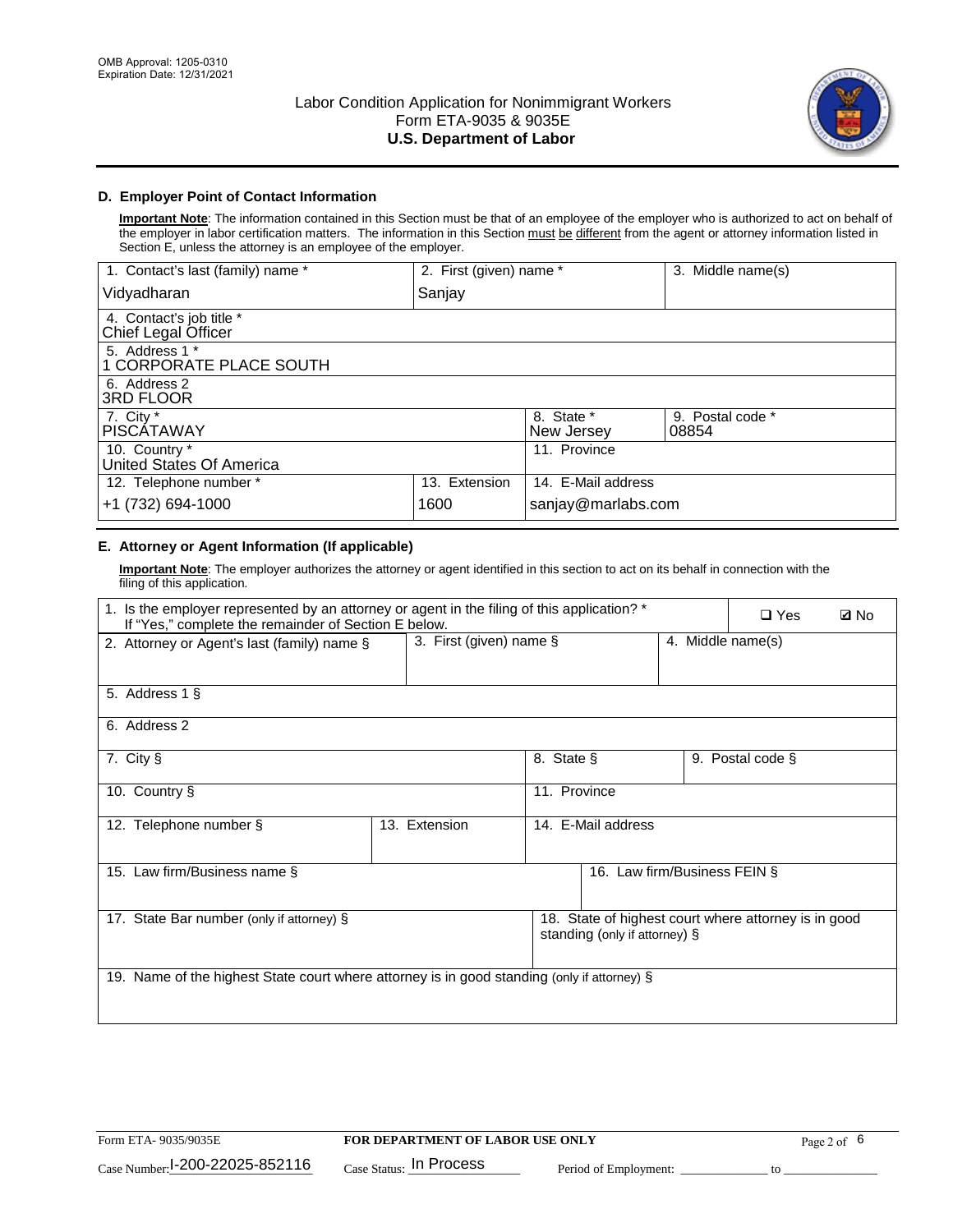

## **D. Employer Point of Contact Information**

**Important Note**: The information contained in this Section must be that of an employee of the employer who is authorized to act on behalf of the employer in labor certification matters. The information in this Section must be different from the agent or attorney information listed in Section E, unless the attorney is an employee of the employer.

| 1. Contact's last (family) name *               | 2. First (given) name * |                          | 3. Middle name(s)         |
|-------------------------------------------------|-------------------------|--------------------------|---------------------------|
| Vidyadharan                                     | Sanjay                  |                          |                           |
| 4. Contact's job title *<br>Chief Legal Officer |                         |                          |                           |
| 5. Address 1 *<br>1 CORPORATE PLACE SOUTH       |                         |                          |                           |
| 6. Address 2<br>3RD FLOOR                       |                         |                          |                           |
| 7. City $*$<br><b>PISCÁTAWAY</b>                |                         | 8. State *<br>New Jersey | 9. Postal code *<br>08854 |
| 10. Country *<br>United States Of America       |                         | 11. Province             |                           |
| 12. Telephone number *                          | 13. Extension           | 14. E-Mail address       |                           |
| +1 (732) 694-1000                               | 1600                    | sanjay@marlabs.com       |                           |

### **E. Attorney or Agent Information (If applicable)**

**Important Note**: The employer authorizes the attorney or agent identified in this section to act on its behalf in connection with the filing of this application.

| 1. Is the employer represented by an attorney or agent in the filing of this application? *<br>If "Yes," complete the remainder of Section E below. |                         | $\square$ Yes | <b>ØNo</b>                    |                   |                                                      |  |
|-----------------------------------------------------------------------------------------------------------------------------------------------------|-------------------------|---------------|-------------------------------|-------------------|------------------------------------------------------|--|
| 2. Attorney or Agent's last (family) name §                                                                                                         | 3. First (given) name § |               |                               | 4. Middle name(s) |                                                      |  |
| 5. Address 1 §                                                                                                                                      |                         |               |                               |                   |                                                      |  |
| 6. Address 2                                                                                                                                        |                         |               |                               |                   |                                                      |  |
| 7. City §                                                                                                                                           |                         | 8. State §    |                               |                   | 9. Postal code §                                     |  |
| 10. Country §                                                                                                                                       |                         | 11. Province  |                               |                   |                                                      |  |
| 12. Telephone number §                                                                                                                              | 13. Extension           |               | 14. E-Mail address            |                   |                                                      |  |
| 15. Law firm/Business name §                                                                                                                        |                         |               | 16. Law firm/Business FEIN §  |                   |                                                      |  |
| 17. State Bar number (only if attorney) §                                                                                                           |                         |               | standing (only if attorney) § |                   | 18. State of highest court where attorney is in good |  |
| 19. Name of the highest State court where attorney is in good standing (only if attorney) §                                                         |                         |               |                               |                   |                                                      |  |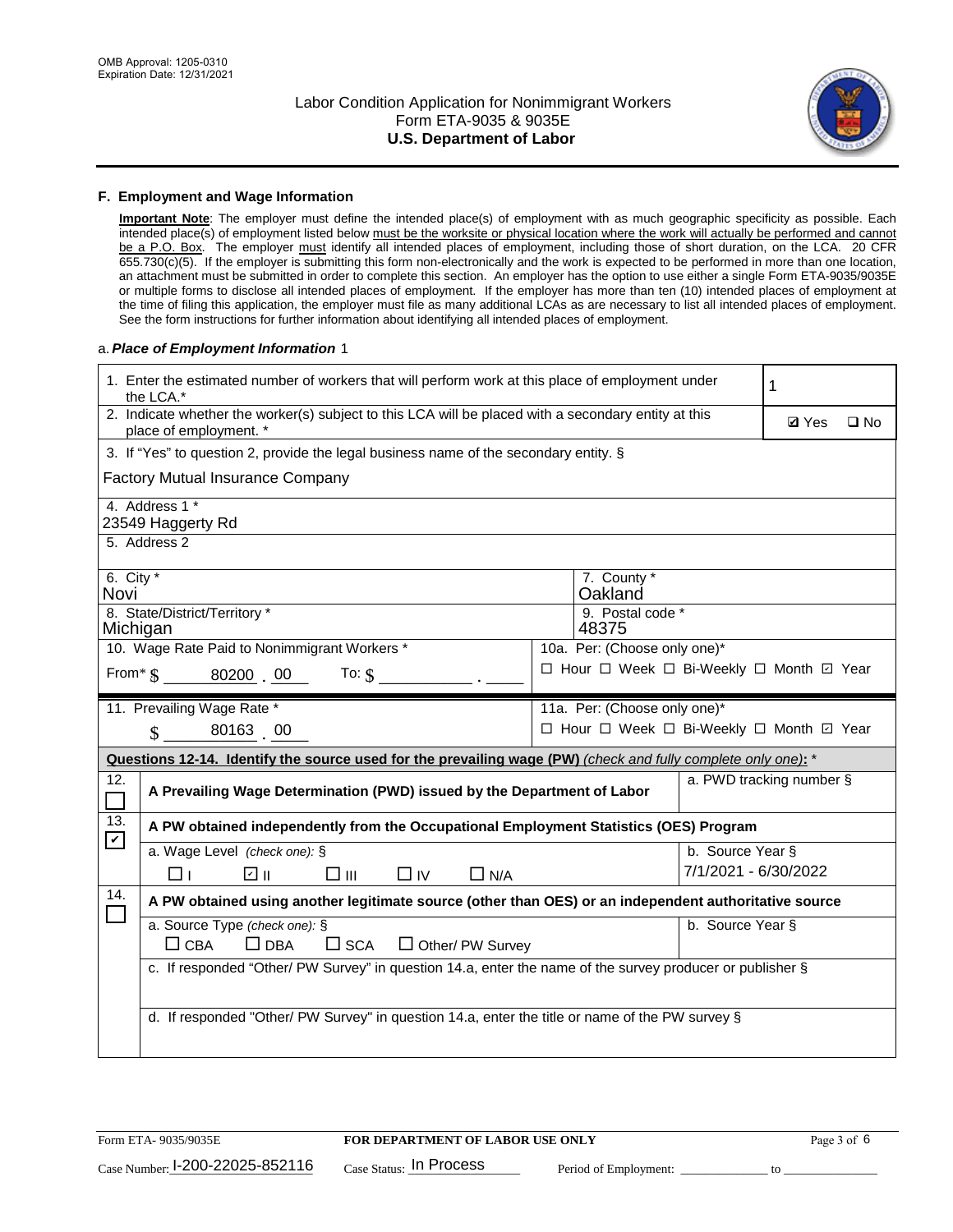

#### **F. Employment and Wage Information**

**Important Note**: The employer must define the intended place(s) of employment with as much geographic specificity as possible. Each intended place(s) of employment listed below must be the worksite or physical location where the work will actually be performed and cannot be a P.O. Box. The employer must identify all intended places of employment, including those of short duration, on the LCA. 20 CFR 655.730(c)(5). If the employer is submitting this form non-electronically and the work is expected to be performed in more than one location, an attachment must be submitted in order to complete this section. An employer has the option to use either a single Form ETA-9035/9035E or multiple forms to disclose all intended places of employment. If the employer has more than ten (10) intended places of employment at the time of filing this application, the employer must file as many additional LCAs as are necessary to list all intended places of employment. See the form instructions for further information about identifying all intended places of employment.

#### a.*Place of Employment Information* 1

|                                                                                  | 1. Enter the estimated number of workers that will perform work at this place of employment under<br>the LCA.*                 |  | 1                                        |                      |                          |              |  |
|----------------------------------------------------------------------------------|--------------------------------------------------------------------------------------------------------------------------------|--|------------------------------------------|----------------------|--------------------------|--------------|--|
|                                                                                  | 2. Indicate whether the worker(s) subject to this LCA will be placed with a secondary entity at this<br>place of employment. * |  |                                          |                      | <b>Ø</b> Yes             | $\square$ No |  |
|                                                                                  | 3. If "Yes" to question 2, provide the legal business name of the secondary entity. §                                          |  |                                          |                      |                          |              |  |
|                                                                                  | <b>Factory Mutual Insurance Company</b>                                                                                        |  |                                          |                      |                          |              |  |
|                                                                                  | 4. Address 1 *<br>23549 Haggerty Rd                                                                                            |  |                                          |                      |                          |              |  |
|                                                                                  | 5. Address 2                                                                                                                   |  |                                          |                      |                          |              |  |
| Novi                                                                             | 6. City $*$<br>7. County *<br>Oakland                                                                                          |  |                                          |                      |                          |              |  |
| Michigan                                                                         | 8. State/District/Territory *                                                                                                  |  | 9. Postal code *<br>48375                |                      |                          |              |  |
|                                                                                  | 10. Wage Rate Paid to Nonimmigrant Workers *                                                                                   |  | 10a. Per: (Choose only one)*             |                      |                          |              |  |
| □ Hour □ Week □ Bi-Weekly □ Month □ Year<br>From $\text{\$}$ 80200 00<br>To: $$$ |                                                                                                                                |  |                                          |                      |                          |              |  |
|                                                                                  | 11. Prevailing Wage Rate *                                                                                                     |  | 11a. Per: (Choose only one)*             |                      |                          |              |  |
|                                                                                  | $\sin 80163$ 00                                                                                                                |  | □ Hour □ Week □ Bi-Weekly □ Month ☑ Year |                      |                          |              |  |
|                                                                                  | Questions 12-14. Identify the source used for the prevailing wage (PW) (check and fully complete only one): *                  |  |                                          |                      |                          |              |  |
| 12.                                                                              | A Prevailing Wage Determination (PWD) issued by the Department of Labor                                                        |  |                                          |                      | a. PWD tracking number § |              |  |
| 13.                                                                              | A PW obtained independently from the Occupational Employment Statistics (OES) Program                                          |  |                                          |                      |                          |              |  |
| $\blacktriangledown$                                                             | a. Wage Level (check one): §                                                                                                   |  |                                          | b. Source Year §     |                          |              |  |
|                                                                                  | ☑ ⊪<br>$\square$ $\square$<br>$\square$ IV<br>$\Box$ N/A<br>□⊥                                                                 |  |                                          | 7/1/2021 - 6/30/2022 |                          |              |  |
| 14.                                                                              | A PW obtained using another legitimate source (other than OES) or an independent authoritative source                          |  |                                          |                      |                          |              |  |
|                                                                                  | a. Source Type (check one): §<br>b. Source Year §<br>$\Box$ CBA<br>$\Box$ DBA<br>$\square$ SCA<br>Other/ PW Survey             |  |                                          |                      |                          |              |  |
|                                                                                  | c. If responded "Other/ PW Survey" in question 14.a, enter the name of the survey producer or publisher §                      |  |                                          |                      |                          |              |  |
|                                                                                  | d. If responded "Other/ PW Survey" in question 14.a, enter the title or name of the PW survey §                                |  |                                          |                      |                          |              |  |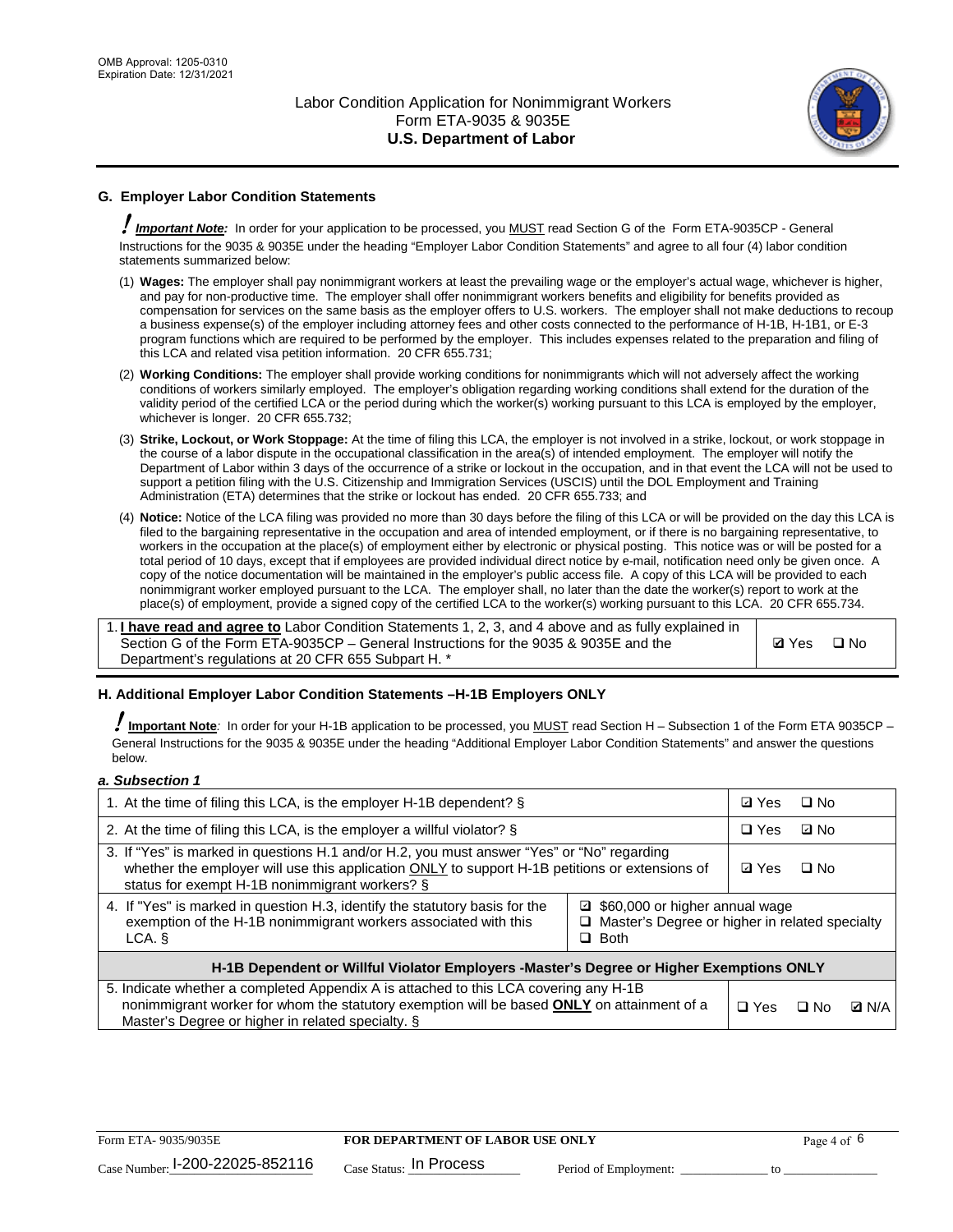

## **G. Employer Labor Condition Statements**

! *Important Note:* In order for your application to be processed, you MUST read Section G of the Form ETA-9035CP - General Instructions for the 9035 & 9035E under the heading "Employer Labor Condition Statements" and agree to all four (4) labor condition statements summarized below:

- (1) **Wages:** The employer shall pay nonimmigrant workers at least the prevailing wage or the employer's actual wage, whichever is higher, and pay for non-productive time. The employer shall offer nonimmigrant workers benefits and eligibility for benefits provided as compensation for services on the same basis as the employer offers to U.S. workers. The employer shall not make deductions to recoup a business expense(s) of the employer including attorney fees and other costs connected to the performance of H-1B, H-1B1, or E-3 program functions which are required to be performed by the employer. This includes expenses related to the preparation and filing of this LCA and related visa petition information. 20 CFR 655.731;
- (2) **Working Conditions:** The employer shall provide working conditions for nonimmigrants which will not adversely affect the working conditions of workers similarly employed. The employer's obligation regarding working conditions shall extend for the duration of the validity period of the certified LCA or the period during which the worker(s) working pursuant to this LCA is employed by the employer, whichever is longer. 20 CFR 655.732;
- (3) **Strike, Lockout, or Work Stoppage:** At the time of filing this LCA, the employer is not involved in a strike, lockout, or work stoppage in the course of a labor dispute in the occupational classification in the area(s) of intended employment. The employer will notify the Department of Labor within 3 days of the occurrence of a strike or lockout in the occupation, and in that event the LCA will not be used to support a petition filing with the U.S. Citizenship and Immigration Services (USCIS) until the DOL Employment and Training Administration (ETA) determines that the strike or lockout has ended. 20 CFR 655.733; and
- (4) **Notice:** Notice of the LCA filing was provided no more than 30 days before the filing of this LCA or will be provided on the day this LCA is filed to the bargaining representative in the occupation and area of intended employment, or if there is no bargaining representative, to workers in the occupation at the place(s) of employment either by electronic or physical posting. This notice was or will be posted for a total period of 10 days, except that if employees are provided individual direct notice by e-mail, notification need only be given once. A copy of the notice documentation will be maintained in the employer's public access file. A copy of this LCA will be provided to each nonimmigrant worker employed pursuant to the LCA. The employer shall, no later than the date the worker(s) report to work at the place(s) of employment, provide a signed copy of the certified LCA to the worker(s) working pursuant to this LCA. 20 CFR 655.734.

1. **I have read and agree to** Labor Condition Statements 1, 2, 3, and 4 above and as fully explained in Section G of the Form ETA-9035CP – General Instructions for the 9035 & 9035E and the Department's regulations at 20 CFR 655 Subpart H. \*

**Ø**Yes ロNo

#### **H. Additional Employer Labor Condition Statements –H-1B Employers ONLY**

!**Important Note***:* In order for your H-1B application to be processed, you MUST read Section H – Subsection 1 of the Form ETA 9035CP – General Instructions for the 9035 & 9035E under the heading "Additional Employer Labor Condition Statements" and answer the questions below.

#### *a. Subsection 1*

| 1. At the time of filing this LCA, is the employer H-1B dependent? §                                                                                                                                                                                            | ⊡ Yes      | $\square$ No |              |  |
|-----------------------------------------------------------------------------------------------------------------------------------------------------------------------------------------------------------------------------------------------------------------|------------|--------------|--------------|--|
| 2. At the time of filing this LCA, is the employer a willful violator? $\S$                                                                                                                                                                                     |            | $\Box$ Yes   | ⊡ No         |  |
| 3. If "Yes" is marked in questions H.1 and/or H.2, you must answer "Yes" or "No" regarding<br>whether the employer will use this application ONLY to support H-1B petitions or extensions of<br>status for exempt H-1B nonimmigrant workers? §                  |            |              | $\Box$ No    |  |
| 4. If "Yes" is marked in question H.3, identify the statutory basis for the<br>■ \$60,000 or higher annual wage<br>exemption of the H-1B nonimmigrant workers associated with this<br>□ Master's Degree or higher in related specialty<br>$\Box$ Both<br>LCA. § |            |              |              |  |
| H-1B Dependent or Willful Violator Employers -Master's Degree or Higher Exemptions ONLY                                                                                                                                                                         |            |              |              |  |
| 5. Indicate whether a completed Appendix A is attached to this LCA covering any H-1B<br>nonimmigrant worker for whom the statutory exemption will be based <b>ONLY</b> on attainment of a<br>Master's Degree or higher in related specialty. §                  | $\Box$ Yes | ⊡ No         | <b>Q</b> N/A |  |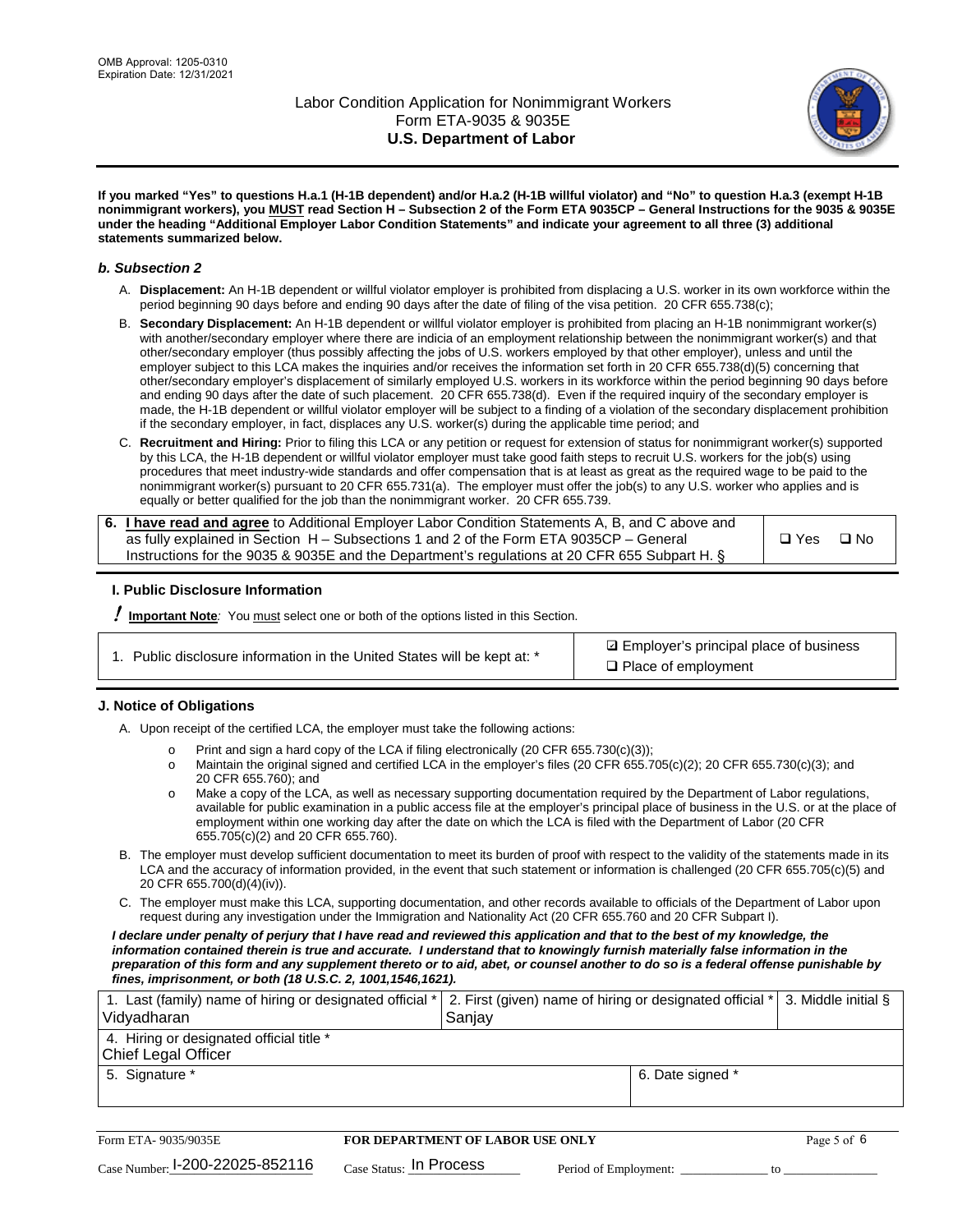

**If you marked "Yes" to questions H.a.1 (H-1B dependent) and/or H.a.2 (H-1B willful violator) and "No" to question H.a.3 (exempt H-1B nonimmigrant workers), you MUST read Section H – Subsection 2 of the Form ETA 9035CP – General Instructions for the 9035 & 9035E under the heading "Additional Employer Labor Condition Statements" and indicate your agreement to all three (3) additional statements summarized below.**

#### *b. Subsection 2*

- A. **Displacement:** An H-1B dependent or willful violator employer is prohibited from displacing a U.S. worker in its own workforce within the period beginning 90 days before and ending 90 days after the date of filing of the visa petition. 20 CFR 655.738(c);
- B. **Secondary Displacement:** An H-1B dependent or willful violator employer is prohibited from placing an H-1B nonimmigrant worker(s) with another/secondary employer where there are indicia of an employment relationship between the nonimmigrant worker(s) and that other/secondary employer (thus possibly affecting the jobs of U.S. workers employed by that other employer), unless and until the employer subject to this LCA makes the inquiries and/or receives the information set forth in 20 CFR 655.738(d)(5) concerning that other/secondary employer's displacement of similarly employed U.S. workers in its workforce within the period beginning 90 days before and ending 90 days after the date of such placement. 20 CFR 655.738(d). Even if the required inquiry of the secondary employer is made, the H-1B dependent or willful violator employer will be subject to a finding of a violation of the secondary displacement prohibition if the secondary employer, in fact, displaces any U.S. worker(s) during the applicable time period; and
- C. **Recruitment and Hiring:** Prior to filing this LCA or any petition or request for extension of status for nonimmigrant worker(s) supported by this LCA, the H-1B dependent or willful violator employer must take good faith steps to recruit U.S. workers for the job(s) using procedures that meet industry-wide standards and offer compensation that is at least as great as the required wage to be paid to the nonimmigrant worker(s) pursuant to 20 CFR 655.731(a). The employer must offer the job(s) to any U.S. worker who applies and is equally or better qualified for the job than the nonimmigrant worker. 20 CFR 655.739.

| 6. I have read and agree to Additional Employer Labor Condition Statements A, B, and C above and |       |           |
|--------------------------------------------------------------------------------------------------|-------|-----------|
| as fully explained in Section H – Subsections 1 and 2 of the Form ETA 9035CP – General           | □ Yes | $\Box$ No |
| Instructions for the 9035 & 9035E and the Department's regulations at 20 CFR 655 Subpart H. §    |       |           |

#### **I. Public Disclosure Information**

! **Important Note***:* You must select one or both of the options listed in this Section.

|  | 1. Public disclosure information in the United States will be kept at: * |  |  |  |
|--|--------------------------------------------------------------------------|--|--|--|
|  |                                                                          |  |  |  |

**sqrt** Employer's principal place of business □ Place of employment

#### **J. Notice of Obligations**

A. Upon receipt of the certified LCA, the employer must take the following actions:

- o Print and sign a hard copy of the LCA if filing electronically (20 CFR 655.730(c)(3));<br>
Maintain the original signed and certified LCA in the employer's files (20 CFR 655.7
- Maintain the original signed and certified LCA in the employer's files (20 CFR 655.705(c)(2); 20 CFR 655.730(c)(3); and 20 CFR 655.760); and
- o Make a copy of the LCA, as well as necessary supporting documentation required by the Department of Labor regulations, available for public examination in a public access file at the employer's principal place of business in the U.S. or at the place of employment within one working day after the date on which the LCA is filed with the Department of Labor (20 CFR 655.705(c)(2) and 20 CFR 655.760).
- B. The employer must develop sufficient documentation to meet its burden of proof with respect to the validity of the statements made in its LCA and the accuracy of information provided, in the event that such statement or information is challenged (20 CFR 655.705(c)(5) and 20 CFR 655.700(d)(4)(iv)).
- C. The employer must make this LCA, supporting documentation, and other records available to officials of the Department of Labor upon request during any investigation under the Immigration and Nationality Act (20 CFR 655.760 and 20 CFR Subpart I).

*I declare under penalty of perjury that I have read and reviewed this application and that to the best of my knowledge, the*  information contained therein is true and accurate. I understand that to knowingly furnish materially false information in the *preparation of this form and any supplement thereto or to aid, abet, or counsel another to do so is a federal offense punishable by fines, imprisonment, or both (18 U.S.C. 2, 1001,1546,1621).*

| 1. Last (family) name of hiring or designated official *   2. First (given) name of hiring or designated official *   3. Middle initial §<br>Vidyadharan | Saniav           |  |
|----------------------------------------------------------------------------------------------------------------------------------------------------------|------------------|--|
| 4. Hiring or designated official title *<br>Chief Legal Officer                                                                                          |                  |  |
| 5. Signature *                                                                                                                                           | 6. Date signed * |  |

| Form ETA-9035/9035E                         | <b>FOR DEPARTMENT OF LABOR USE ONLY</b> |                       |  |
|---------------------------------------------|-----------------------------------------|-----------------------|--|
| $_{\text{Case Number:}}$ I-200-22025-852116 | $_{\text{Case Status:}}$ In Process     | Period of Employment: |  |